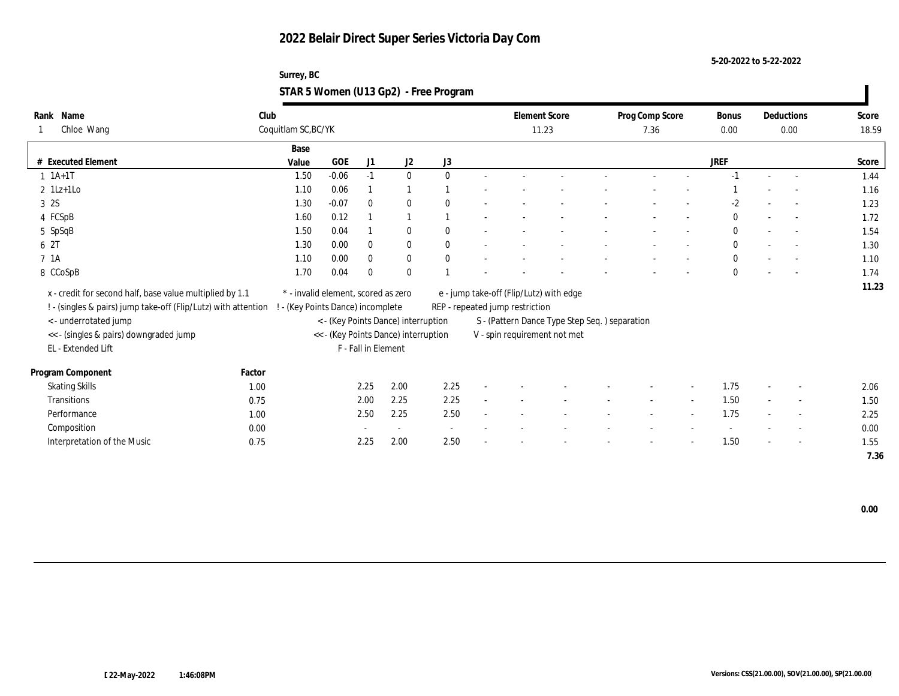**5-20-2022 to 5-22-2022**

### **Surrey, BC STAR 5 Women (U13 Gp2) - Free Program**

| Name<br>Rank                                                                                     | Club   |                                     |            |                     |                                      |              |        |                                 | <b>Element Score</b>                          | Prog Comp Score |                          | Bonus        |        | Deductions               | Score |
|--------------------------------------------------------------------------------------------------|--------|-------------------------------------|------------|---------------------|--------------------------------------|--------------|--------|---------------------------------|-----------------------------------------------|-----------------|--------------------------|--------------|--------|--------------------------|-------|
| Chloe Wang                                                                                       |        | Coquitlam SC, BC/YK                 |            |                     |                                      |              |        |                                 | 11.23                                         | 7.36            |                          | 0.00         |        | 0.00                     | 18.59 |
|                                                                                                  |        | Base                                |            |                     |                                      |              |        |                                 |                                               |                 |                          |              |        |                          |       |
| # Executed Element                                                                               |        | Value                               | <b>GOE</b> | J1                  | J2                                   | J3           |        |                                 |                                               |                 |                          | <b>JREF</b>  |        |                          | Score |
| $1 \t1A+1T$                                                                                      |        | 1.50                                | $-0.06$    | $-1$                | $\bf{0}$                             | $\theta$     | $\sim$ |                                 |                                               | $\sim$          |                          | $-1$         | $\sim$ | $\sim$                   | 1.44  |
| $2 \text{1Lz+1Lo}$                                                                               |        | 1.10                                | 0.06       |                     | $\mathbf{1}$                         |              |        |                                 |                                               |                 |                          |              |        | $\overline{a}$           | 1.16  |
| 3 2S                                                                                             |        | 1.30                                | $-0.07$    | $\mathbf{0}$        | $\mathbf{0}$                         | $\mathbf{0}$ |        |                                 |                                               |                 |                          | -2           |        |                          | 1.23  |
| 4 FCSpB                                                                                          |        | 1.60                                | 0.12       |                     | $\overline{1}$                       |              |        |                                 |                                               |                 |                          | $\mathbf{0}$ | $\sim$ | $\sim$                   | 1.72  |
| 5 SpSqB                                                                                          |        | 1.50                                | 0.04       |                     | $\bf{0}$                             | $\theta$     |        |                                 |                                               |                 |                          | $\mathbf{0}$ |        | $\sim$                   | 1.54  |
| 6 2T                                                                                             |        | 1.30                                | 0.00       | $\mathbf{0}$        | $\bf{0}$                             | $\theta$     |        |                                 |                                               |                 |                          | $\mathbf{0}$ |        | $\sim$                   | 1.30  |
| 7 1A                                                                                             |        | 1.10                                | 0.00       | $\bf{0}$            | $\bf{0}$                             | $\mathbf{0}$ |        |                                 |                                               |                 |                          | $\mathbf{0}$ |        |                          | 1.10  |
| 8 CCoSpB                                                                                         |        | 1.70                                | 0.04       | $\bf{0}$            | $\bf{0}$                             |              |        |                                 |                                               |                 |                          | $\mathbf{0}$ |        |                          | 1.74  |
| x - credit for second half, base value multiplied by 1.1                                         |        | * - invalid element, scored as zero |            |                     |                                      |              |        |                                 | e - jump take-off (Flip/Lutz) with edge       |                 |                          |              |        |                          | 11.23 |
| ! - (singles & pairs) jump take-off (Flip/Lutz) with attention ! - (Key Points Dance) incomplete |        |                                     |            |                     |                                      |              |        | REP - repeated jump restriction |                                               |                 |                          |              |        |                          |       |
| < - underrotated jump                                                                            |        |                                     |            |                     | < - (Key Points Dance) interruption  |              |        |                                 | S - (Pattern Dance Type Step Seq.) separation |                 |                          |              |        |                          |       |
| << - (singles & pairs) downgraded jump                                                           |        |                                     |            |                     | << - (Key Points Dance) interruption |              |        |                                 | V - spin requirement not met                  |                 |                          |              |        |                          |       |
| EL - Extended Lift                                                                               |        |                                     |            | F - Fall in Element |                                      |              |        |                                 |                                               |                 |                          |              |        |                          |       |
|                                                                                                  |        |                                     |            |                     |                                      |              |        |                                 |                                               |                 |                          |              |        |                          |       |
| Program Component                                                                                | Factor |                                     |            |                     |                                      |              |        |                                 |                                               |                 |                          |              |        |                          |       |
| <b>Skating Skills</b>                                                                            | 1.00   |                                     |            | 2.25                | 2.00                                 | 2.25         |        |                                 |                                               |                 | $\overline{\phantom{a}}$ | 1.75         |        | $\overline{\phantom{a}}$ | 2.06  |
| <b>Transitions</b>                                                                               | 0.75   |                                     |            | 2.00                | 2.25                                 | 2.25         | $\sim$ |                                 |                                               | $\sim$          | $\sim$                   | 1.50         | $\sim$ | $\overline{\phantom{a}}$ | 1.50  |
| Performance                                                                                      | 1.00   |                                     |            | 2.50                | 2.25                                 | 2.50         |        |                                 |                                               |                 | $\overline{\phantom{a}}$ | 1.75         |        | $\sim$                   | 2.25  |
| Composition                                                                                      | 0.00   |                                     |            |                     | $\sim$                               | $\sim$       |        |                                 |                                               |                 |                          |              |        | $\overline{\phantom{a}}$ | 0.00  |
| Interpretation of the Music                                                                      | 0.75   |                                     |            | 2.25                | 2.00                                 | 2.50         |        |                                 |                                               |                 |                          | 1.50         |        | $\sim$                   | 1.55  |
|                                                                                                  |        |                                     |            |                     |                                      |              |        |                                 |                                               |                 |                          |              |        |                          | 7.36  |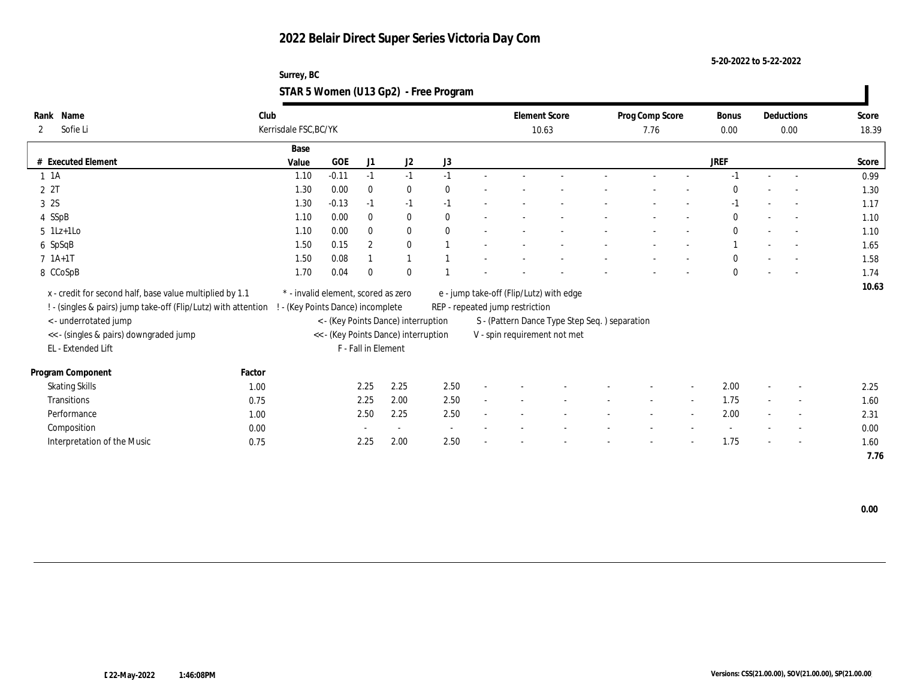**5-20-2022 to 5-22-2022**

### **Surrey, BC STAR 5 Women (U13 Gp2) - Free Program**

| Name<br>Rank                                                   | Club   |                                     |            |                     |                                      |          |        |                                 | <b>Element Score</b>                           | Prog Comp Score |        | Bonus        |        | Deductions               | Score |
|----------------------------------------------------------------|--------|-------------------------------------|------------|---------------------|--------------------------------------|----------|--------|---------------------------------|------------------------------------------------|-----------------|--------|--------------|--------|--------------------------|-------|
| Sofie Li<br>2                                                  |        | Kerrisdale FSC, BC/YK               |            |                     |                                      |          |        |                                 | 10.63                                          | 7.76            |        | 0.00         |        | 0.00                     | 18.39 |
|                                                                |        | Base                                |            |                     |                                      |          |        |                                 |                                                |                 |        |              |        |                          |       |
| # Executed Element                                             |        | Value                               | <b>GOE</b> | J1                  | J2                                   | J3       |        |                                 |                                                |                 |        | <b>JREF</b>  |        |                          | Score |
| $1 \t1A$                                                       |        | 1.10                                | $-0.11$    | $-1$                | $-1$                                 | $-1$     |        |                                 |                                                | $\sim$          |        | $-1$         | $\sim$ | $\sim$                   | 0.99  |
| 2 2T                                                           |        | 1.30                                | 0.00       | $\bf{0}$            | $\bf{0}$                             | $\theta$ |        |                                 |                                                |                 |        | $\Omega$     |        |                          | 1.30  |
| 3 2S                                                           |        | 1.30                                | $-0.13$    | $-1$                | $-1$                                 | $-1$     |        |                                 |                                                |                 |        | -1           |        |                          | 1.17  |
| 4 SSpB                                                         |        | 1.10                                | 0.00       | $\bf{0}$            | $\bf{0}$                             | $\theta$ |        |                                 |                                                |                 |        | $\mathbf{0}$ |        | $\sim$                   | 1.10  |
| $5$ 1Lz+1Lo                                                    |        | 1.10                                | 0.00       | $\bf{0}$            | $\bf{0}$                             | $\theta$ |        |                                 |                                                |                 |        | $\mathbf{0}$ |        | $\sim$                   | 1.10  |
| 6 SpSqB                                                        |        | 1.50                                | 0.15       | $\overline{2}$      | $\mathbf{0}$                         |          |        |                                 |                                                |                 |        |              |        | $\sim$                   | 1.65  |
| $7 1A+1T$                                                      |        | 1.50                                | 0.08       |                     | $\mathbf{1}$                         |          |        |                                 |                                                |                 |        | $\mathbf{0}$ |        |                          | 1.58  |
| 8 CCoSpB                                                       |        | 1.70                                | 0.04       | $\Omega$            | $\bf{0}$                             |          |        |                                 |                                                |                 |        | $\mathbf{0}$ |        |                          | 1.74  |
| x - credit for second half, base value multiplied by 1.1       |        | * - invalid element, scored as zero |            |                     |                                      |          |        |                                 | e - jump take-off (Flip/Lutz) with edge        |                 |        |              |        |                          | 10.63 |
| ! - (singles & pairs) jump take-off (Flip/Lutz) with attention |        | - (Key Points Dance) incomplete     |            |                     |                                      |          |        | REP - repeated jump restriction |                                                |                 |        |              |        |                          |       |
| < - underrotated jump                                          |        |                                     |            |                     | < - (Key Points Dance) interruption  |          |        |                                 | S - (Pattern Dance Type Step Seq. ) separation |                 |        |              |        |                          |       |
| << - (singles & pairs) downgraded jump                         |        |                                     |            |                     | << - (Key Points Dance) interruption |          |        |                                 | V - spin requirement not met                   |                 |        |              |        |                          |       |
| EL - Extended Lift                                             |        |                                     |            | F - Fall in Element |                                      |          |        |                                 |                                                |                 |        |              |        |                          |       |
|                                                                |        |                                     |            |                     |                                      |          |        |                                 |                                                |                 |        |              |        |                          |       |
| Program Component                                              | Factor |                                     |            |                     |                                      |          |        |                                 |                                                |                 |        |              |        |                          |       |
| <b>Skating Skills</b>                                          | 1.00   |                                     |            | 2.25                | 2.25                                 | 2.50     |        |                                 |                                                |                 |        | 2.00         |        | $\overline{\phantom{a}}$ | 2.25  |
| Transitions                                                    | 0.75   |                                     |            | 2.25                | 2.00                                 | 2.50     | $\sim$ |                                 |                                                | $\sim$          | $\sim$ | 1.75         | $\sim$ | $\sim$                   | 1.60  |
| Performance                                                    | 1.00   |                                     |            | 2.50                | 2.25                                 | 2.50     |        |                                 |                                                |                 | $\sim$ | 2.00         |        | $\overline{\phantom{a}}$ | 2.31  |
| Composition                                                    | 0.00   |                                     |            |                     | $\sim$                               | $\sim$   |        |                                 |                                                |                 |        |              |        | $\overline{\phantom{a}}$ | 0.00  |
| Interpretation of the Music                                    | 0.75   |                                     |            | 2.25                | 2.00                                 | 2.50     |        |                                 |                                                |                 |        | 1.75         |        | $\sim$                   | 1.60  |
|                                                                |        |                                     |            |                     |                                      |          |        |                                 |                                                |                 |        |              |        |                          | 7.76  |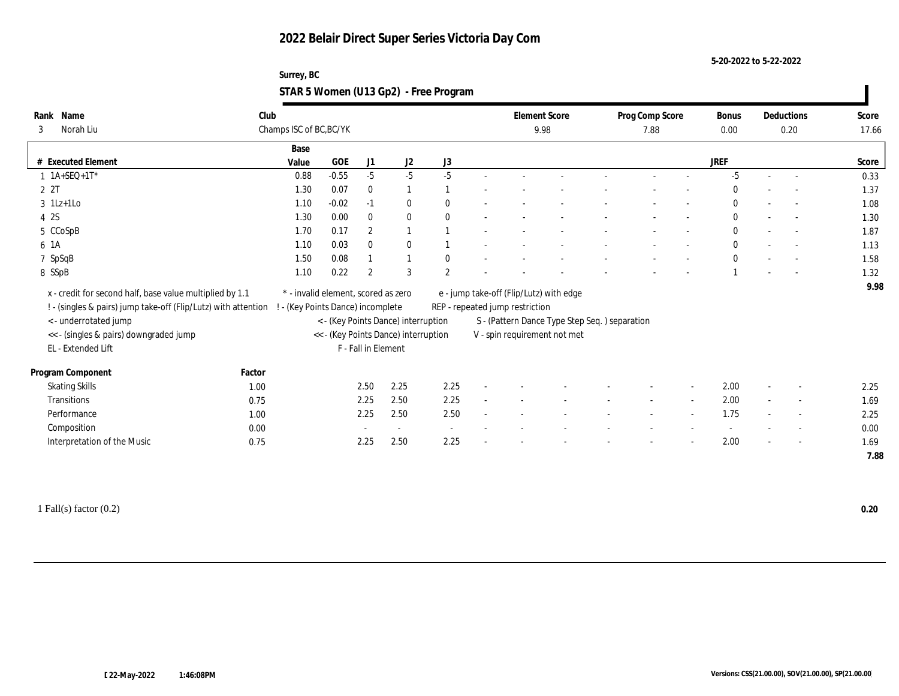**5-20-2022 to 5-22-2022**

#### **Surrey, BC STAR 5 Women (U13 Gp2) - Free Program**

| Name<br>Rank                                                   | Club                    |                                     |                                      |                  |               |                | <b>Element Score</b>            |                                               | Prog Comp Score |                          | <b>Bonus</b> | Deductions               | Score |
|----------------------------------------------------------------|-------------------------|-------------------------------------|--------------------------------------|------------------|---------------|----------------|---------------------------------|-----------------------------------------------|-----------------|--------------------------|--------------|--------------------------|-------|
| Norah Liu<br>3                                                 | Champs ISC of BC, BC/YK |                                     |                                      |                  |               |                |                                 | 9.98                                          | 7.88            |                          | $0.00\,$     | 0.20                     | 17.66 |
|                                                                |                         | Base                                |                                      |                  |               |                |                                 |                                               |                 |                          |              |                          |       |
| # Executed Element                                             |                         | Value                               | GOE                                  | J1               | $\mathrm{J}2$ | J3             |                                 |                                               |                 |                          | <b>JREF</b>  |                          | Score |
| $1$ 1A+SEQ+1T*                                                 |                         | 0.88                                | $-0.55$                              | $-5$             | $-5$          | $-5$           |                                 |                                               |                 |                          | $-5$         | $\sim$                   | 0.33  |
| 2 2T                                                           |                         | 1.30                                | 0.07                                 | $\bf{0}$         | $\mathbf{1}$  |                |                                 |                                               |                 |                          | $\Omega$     | $\sim$                   | 1.37  |
| $3$ 1Lz+1Lo                                                    |                         | 1.10                                | $-0.02$                              | $-1$             | $\bf{0}$      | $\mathbf{0}$   |                                 |                                               |                 |                          | $\mathbf{0}$ |                          | 1.08  |
| 4 2S                                                           |                         | 1.30                                | 0.00                                 | $\bf{0}$         | $\bf{0}$      | $\theta$       |                                 |                                               |                 |                          | $\mathbf{0}$ | $\overline{a}$           | 1.30  |
| 5 CCoSpB                                                       |                         | 1.70                                | 0.17                                 | $\mathbf{2}$     | $\mathbf{1}$  |                |                                 |                                               |                 |                          | $\mathbf{0}$ | $\sim$                   | 1.87  |
| 6 1A                                                           |                         | 1.10                                | 0.03                                 | $\mathbf{0}$     | $\mathbf{0}$  |                |                                 |                                               |                 |                          | $\mathbf{0}$ | $\sim$                   | 1.13  |
| 7 SpSqB                                                        |                         | 1.50                                | 0.08                                 |                  | $\mathbf{1}$  | $\mathbf{0}$   |                                 |                                               |                 |                          | $\theta$     |                          | 1.58  |
| 8 SSpB                                                         |                         | 1.10                                | 0.22                                 | $\boldsymbol{2}$ | 3             | $\overline{2}$ |                                 |                                               |                 |                          |              |                          | 1.32  |
| x - credit for second half, base value multiplied by 1.1       |                         | * - invalid element, scored as zero |                                      |                  |               |                |                                 | e - jump take-off (Flip/Lutz) with edge       |                 |                          |              |                          | 9.98  |
| ! - (singles & pairs) jump take-off (Flip/Lutz) with attention |                         | (Key Points Dance) incomplete       |                                      |                  |               |                | REP - repeated jump restriction |                                               |                 |                          |              |                          |       |
| < - underrotated jump                                          |                         |                                     | < - (Key Points Dance) interruption  |                  |               |                |                                 | S - (Pattern Dance Type Step Seq.) separation |                 |                          |              |                          |       |
| << - (singles & pairs) downgraded jump                         |                         |                                     | << - (Key Points Dance) interruption |                  |               |                |                                 | V - spin requirement not met                  |                 |                          |              |                          |       |
| EL - Extended Lift                                             |                         |                                     | F - Fall in Element                  |                  |               |                |                                 |                                               |                 |                          |              |                          |       |
|                                                                |                         |                                     |                                      |                  |               |                |                                 |                                               |                 |                          |              |                          |       |
| Program Component                                              | Factor                  |                                     |                                      |                  |               |                |                                 |                                               |                 |                          |              |                          |       |
| <b>Skating Skills</b>                                          | 1.00                    |                                     | 2.50                                 |                  | 2.25          | 2.25           |                                 |                                               |                 | $\overline{\phantom{a}}$ | 2.00         | $\overline{\phantom{a}}$ | 2.25  |
| Transitions                                                    | 0.75                    |                                     | 2.25                                 |                  | 2.50          | 2.25           |                                 |                                               |                 | $\sim$                   | 2.00         | $\sim$                   | 1.69  |
| Performance                                                    | 1.00                    |                                     | 2.25                                 |                  | 2.50          | 2.50           |                                 |                                               |                 | $\overline{\phantom{a}}$ | 1.75         | $\overline{\phantom{a}}$ | 2.25  |
| Composition                                                    | 0.00                    |                                     |                                      |                  | $\sim$        | $\sim$         |                                 |                                               |                 |                          |              | $\overline{\phantom{a}}$ | 0.00  |
| Interpretation of the Music                                    | 0.75                    |                                     | 2.25                                 |                  | 2.50          | 2.25           |                                 |                                               |                 |                          | 2.00         | $\overline{\phantom{a}}$ | 1.69  |
|                                                                |                         |                                     |                                      |                  |               |                |                                 |                                               |                 |                          |              |                          | 7.88  |

1 Fall(s) factor (0.2) **0.20**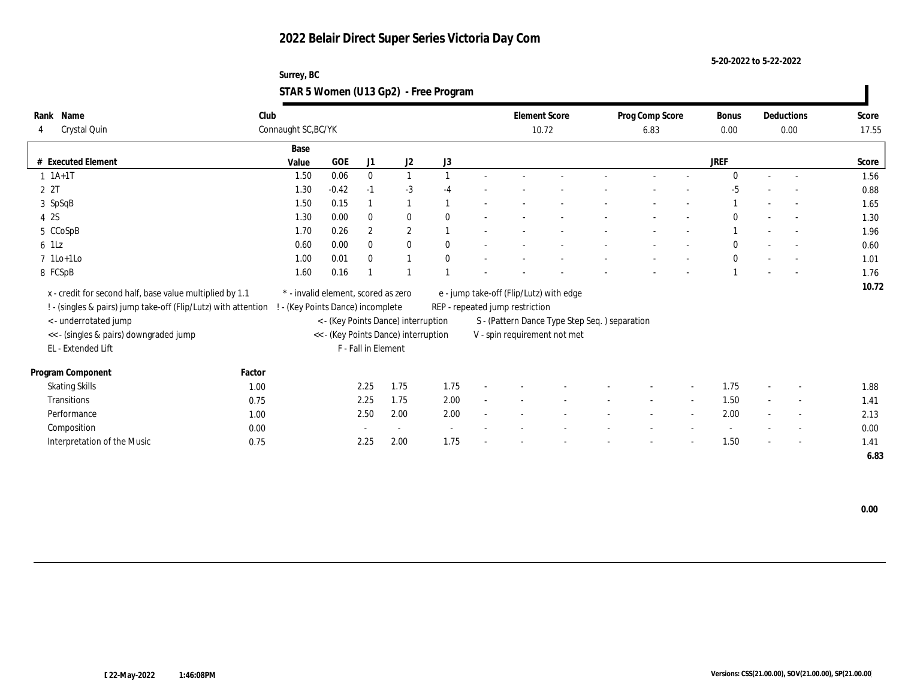**5-20-2022 to 5-22-2022**

### **Surrey, BC STAR 5 Women (U13 Gp2) - Free Program**

| Rank Name                                                      | Club   |                                     |            |                     |                                      |              |        |                                 | <b>Element Score</b>                           | Prog Comp Score |        | <b>Bonus</b> |        | Deductions               | Score |
|----------------------------------------------------------------|--------|-------------------------------------|------------|---------------------|--------------------------------------|--------------|--------|---------------------------------|------------------------------------------------|-----------------|--------|--------------|--------|--------------------------|-------|
| Crystal Quin<br>4                                              |        | Connaught SC, BC/YK                 |            |                     |                                      |              |        |                                 | 10.72                                          | 6.83            |        | 0.00         |        | 0.00                     | 17.55 |
|                                                                |        | Base                                |            |                     |                                      |              |        |                                 |                                                |                 |        |              |        |                          |       |
| # Executed Element                                             |        | Value                               | <b>GOE</b> | J1                  | J <sub>2</sub>                       | J3           |        |                                 |                                                |                 |        | <b>JREF</b>  |        |                          | Score |
| $1 1A+1T$                                                      |        | 1.50                                | 0.06       | $\bf{0}$            | $\mathbf{1}$                         |              |        |                                 |                                                |                 |        | $\Omega$     |        |                          | 1.56  |
| 2 2T                                                           |        | 1.30                                | $-0.42$    | $-1$                | $-3$                                 |              |        |                                 |                                                |                 |        | $-5$         |        |                          | 0.88  |
| 3 SpSqB                                                        |        | 1.50                                | 0.15       |                     | $\mathbf{1}$                         |              |        |                                 |                                                |                 |        |              |        |                          | 1.65  |
| 4 2S                                                           |        | 1.30                                | 0.00       | $\bf{0}$            | $\bf{0}$                             | $\theta$     |        |                                 |                                                |                 |        | $\Omega$     |        | $\sim$                   | 1.30  |
| 5 CCoSpB                                                       |        | 1.70                                | 0.26       | $\overline{2}$      | $\mathbf{2}$                         |              |        |                                 |                                                |                 |        |              |        |                          | 1.96  |
| $6$ 1Lz                                                        |        | 0.60                                | 0.00       | $\mathbf{0}$        | $\bf{0}$                             | $\theta$     |        |                                 |                                                |                 |        | $\theta$     |        |                          | 0.60  |
| $7$ 1Lo+1Lo                                                    |        | 1.00                                | 0.01       | $\mathbf{0}$        | $\mathbf{1}$                         | $\mathbf{0}$ |        |                                 |                                                |                 |        | $\mathbf{0}$ |        |                          | 1.01  |
| 8 FCSpB                                                        |        | 1.60                                | 0.16       |                     |                                      |              |        |                                 |                                                |                 |        |              |        |                          | 1.76  |
| x - credit for second half, base value multiplied by 1.1       |        | * - invalid element, scored as zero |            |                     |                                      |              |        |                                 | e - jump take-off (Flip/Lutz) with edge        |                 |        |              |        |                          | 10.72 |
| ! - (singles & pairs) jump take-off (Flip/Lutz) with attention |        | - (Key Points Dance) incomplete     |            |                     |                                      |              |        | REP - repeated jump restriction |                                                |                 |        |              |        |                          |       |
| < - underrotated jump                                          |        |                                     |            |                     | < - (Key Points Dance) interruption  |              |        |                                 | S - (Pattern Dance Type Step Seq. ) separation |                 |        |              |        |                          |       |
| << - (singles & pairs) downgraded jump                         |        |                                     |            |                     | << - (Key Points Dance) interruption |              |        |                                 | V - spin requirement not met                   |                 |        |              |        |                          |       |
| EL - Extended Lift                                             |        |                                     |            | F - Fall in Element |                                      |              |        |                                 |                                                |                 |        |              |        |                          |       |
|                                                                |        |                                     |            |                     |                                      |              |        |                                 |                                                |                 |        |              |        |                          |       |
| Program Component                                              | Factor |                                     |            |                     |                                      |              |        |                                 |                                                |                 |        |              |        |                          |       |
| <b>Skating Skills</b>                                          | 1.00   |                                     |            | 2.25                | 1.75                                 | 1.75         |        |                                 |                                                |                 |        | 1.75         |        | $\sim$                   | 1.88  |
| Transitions                                                    | 0.75   |                                     |            | 2.25                | 1.75                                 | 2.00         | $\sim$ |                                 |                                                | $\sim$          | $\sim$ | 1.50         | $\sim$ | $\sim$                   | 1.41  |
| Performance                                                    | 1.00   |                                     |            | 2.50                | 2.00                                 | 2.00         |        |                                 |                                                |                 | $\sim$ | 2.00         |        | $\overline{\phantom{a}}$ | 2.13  |
| Composition                                                    | 0.00   |                                     |            |                     | $\sim$                               |              |        |                                 |                                                |                 |        |              |        | $\overline{\phantom{a}}$ | 0.00  |
| Interpretation of the Music                                    | 0.75   |                                     |            | 2.25                | 2.00                                 | 1.75         |        |                                 |                                                |                 |        | 1.50         |        | $\overline{\phantom{a}}$ | 1.41  |
|                                                                |        |                                     |            |                     |                                      |              |        |                                 |                                                |                 |        |              |        |                          | 6.83  |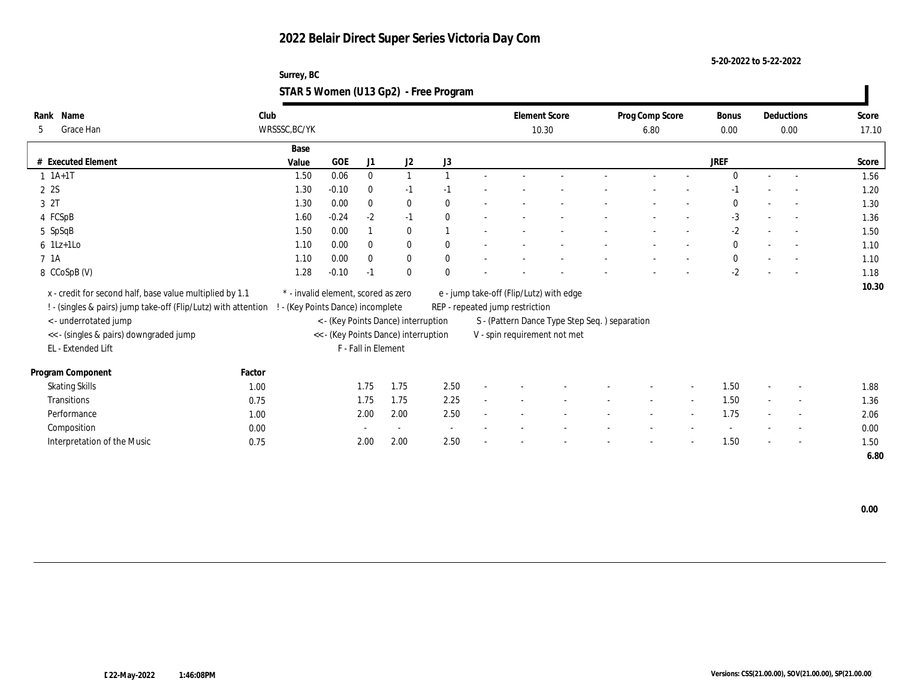**5-20-2022 to 5-22-2022**

### **Surrey, BC STAR 5 Women (U13 Gp2) - Free Program**

| Name<br>Rank                                                   | Club   |                                     |            |                     |                                      |                          |        |                                 | <b>Element Score</b>                           | Prog Comp Score |        | <b>Bonus</b> |        | Deductions               | Score |
|----------------------------------------------------------------|--------|-------------------------------------|------------|---------------------|--------------------------------------|--------------------------|--------|---------------------------------|------------------------------------------------|-----------------|--------|--------------|--------|--------------------------|-------|
| Grace Han<br>5                                                 |        | WRSSSC, BC/YK                       |            |                     |                                      |                          |        |                                 | 10.30                                          | 6.80            |        | $0.00\,$     |        | 0.00                     | 17.10 |
|                                                                |        | Base                                |            |                     |                                      |                          |        |                                 |                                                |                 |        |              |        |                          |       |
| # Executed Element                                             |        | Value                               | <b>GOE</b> | J1                  | J2                                   | J3                       |        |                                 |                                                |                 |        | <b>JREF</b>  |        |                          | Score |
| $1 \t1A+1T$                                                    |        | 1.50                                | 0.06       | $\bf{0}$            | $\mathbf{1}$                         |                          |        |                                 |                                                |                 |        | $\Omega$     | $\sim$ | $\overline{\phantom{a}}$ | 1.56  |
| 2 2S                                                           |        | 1.30                                | $-0.10$    | $\bf{0}$            | $-1$                                 | $-1$                     |        |                                 |                                                |                 |        | $-1$         |        |                          | 1.20  |
| 3 2T                                                           |        | 1.30                                | 0.00       | $\mathbf{0}$        | $\bf{0}$                             | $\mathbf{0}$             |        |                                 |                                                |                 |        | $\bf{0}$     |        | $\overline{\phantom{a}}$ | 1.30  |
| 4 FCSpB                                                        |        | 1.60                                | $-0.24$    | $-2$                | $-1$                                 | $\Omega$                 |        |                                 |                                                |                 |        | $-3$         |        | $\sim$                   | 1.36  |
| 5 SpSqB                                                        |        | 1.50                                | 0.00       |                     | $\mathbf{0}$                         |                          |        |                                 |                                                |                 |        | $-2$         |        | $\overline{\phantom{a}}$ | 1.50  |
| $6$ 1Lz+1Lo                                                    |        | 1.10                                | 0.00       | $\mathbf{0}$        | $\bf{0}$                             | $\theta$                 |        |                                 |                                                |                 |        | $\bf{0}$     |        |                          | 1.10  |
| 7 1A                                                           |        | 1.10                                | 0.00       | $\mathbf{0}$        | $\bf{0}$                             | $\mathbf{0}$             |        |                                 |                                                |                 |        | $\mathbf{0}$ |        | $\overline{\phantom{a}}$ | 1.10  |
| 8 CCoSpB (V)                                                   |        | 1.28                                | $-0.10$    | $-1$                | $\mathbf{0}$                         | $\Omega$                 |        |                                 |                                                |                 |        | $-2$         |        |                          | 1.18  |
| x - credit for second half, base value multiplied by 1.1       |        | * - invalid element, scored as zero |            |                     |                                      |                          |        |                                 | e - jump take-off (Flip/Lutz) with edge        |                 |        |              |        |                          | 10.30 |
| ! - (singles & pairs) jump take-off (Flip/Lutz) with attention |        | - (Key Points Dance) incomplete     |            |                     |                                      |                          |        | REP - repeated jump restriction |                                                |                 |        |              |        |                          |       |
| <- underrotated jump                                           |        |                                     |            |                     | < - (Key Points Dance) interruption  |                          |        |                                 | S - (Pattern Dance Type Step Seq. ) separation |                 |        |              |        |                          |       |
| << - (singles & pairs) downgraded jump                         |        |                                     |            |                     | << - (Key Points Dance) interruption |                          |        |                                 | V - spin requirement not met                   |                 |        |              |        |                          |       |
| EL - Extended Lift                                             |        |                                     |            | F - Fall in Element |                                      |                          |        |                                 |                                                |                 |        |              |        |                          |       |
|                                                                |        |                                     |            |                     |                                      |                          |        |                                 |                                                |                 |        |              |        |                          |       |
| Program Component                                              | Factor |                                     |            |                     |                                      |                          |        |                                 |                                                |                 |        |              |        |                          |       |
| <b>Skating Skills</b>                                          | 1.00   |                                     |            | 1.75                | 1.75                                 | 2.50                     |        |                                 |                                                |                 |        | 1.50         |        | $\overline{\phantom{a}}$ | 1.88  |
| Transitions                                                    | 0.75   |                                     |            | 1.75                | 1.75                                 | 2.25                     | $\sim$ |                                 |                                                | $\sim$          | $\sim$ | 1.50         | $\sim$ | $\overline{\phantom{a}}$ | 1.36  |
| Performance                                                    | 1.00   |                                     |            | 2.00                | 2.00                                 | 2.50                     |        |                                 |                                                |                 | $\sim$ | 1.75         |        | $\overline{\phantom{a}}$ | 2.06  |
| Composition                                                    | 0.00   |                                     |            |                     | $\sim$                               | $\overline{\phantom{a}}$ |        |                                 |                                                |                 |        |              |        | $\overline{\phantom{a}}$ | 0.00  |
| Interpretation of the Music                                    | 0.75   |                                     |            | 2.00                | 2.00                                 | 2.50                     |        |                                 |                                                |                 |        | 1.50         |        | $\sim$                   | 1.50  |
|                                                                |        |                                     |            |                     |                                      |                          |        |                                 |                                                |                 |        |              |        |                          | 6.80  |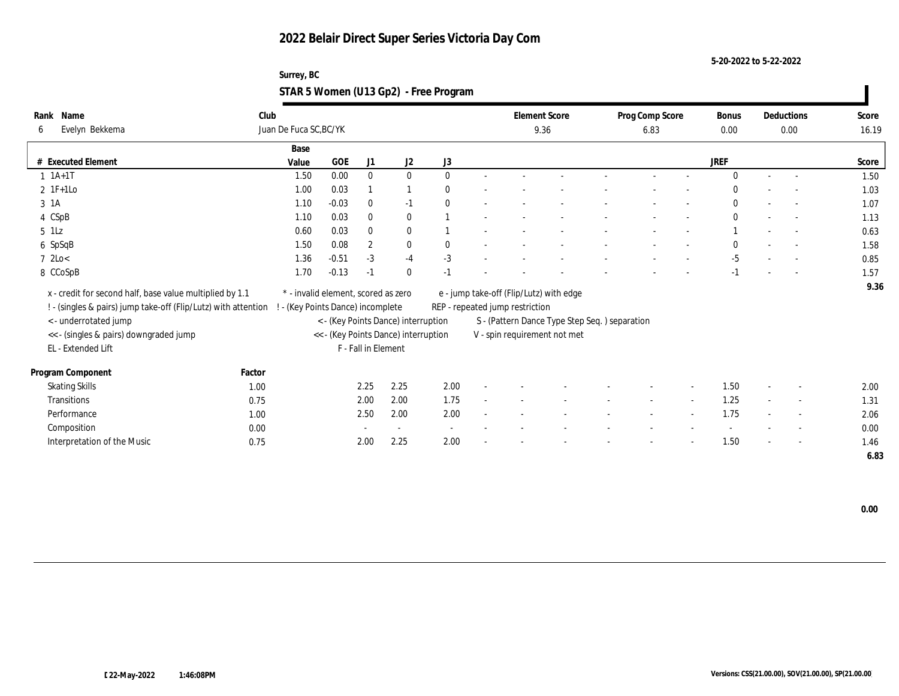**5-20-2022 to 5-22-2022**

#### **Surrey, BC STAR 5 Women (U13 Gp2) - Free Program**

| Name<br>Rank                                                                                     | Club   |                                     |         |                     |                                      |              |                                               | <b>Element Score</b> | Prog Comp Score |        | <b>Bonus</b> |        | Deductions               | Score |
|--------------------------------------------------------------------------------------------------|--------|-------------------------------------|---------|---------------------|--------------------------------------|--------------|-----------------------------------------------|----------------------|-----------------|--------|--------------|--------|--------------------------|-------|
| Evelyn Bekkema<br>6                                                                              |        | Juan De Fuca SC, BC/YK              |         |                     |                                      |              |                                               | 9.36                 | 6.83            |        | 0.00         |        | 0.00                     | 16.19 |
|                                                                                                  |        | Base                                |         |                     |                                      |              |                                               |                      |                 |        |              |        |                          |       |
| # Executed Element                                                                               |        | Value                               | GOE     | J1                  | J2                                   | J3           |                                               |                      |                 |        | <b>JREF</b>  |        |                          | Score |
| $1 \t1A+1T$                                                                                      |        | 1.50                                | 0.00    | $\bf{0}$            | $\bf{0}$                             | $\mathbf{0}$ |                                               |                      |                 |        | $\Omega$     |        |                          | 1.50  |
| $2$ 1F+1Lo                                                                                       |        | 1.00                                | 0.03    |                     | $\mathbf{1}$                         | $\mathbf{0}$ |                                               |                      |                 |        | $\Omega$     |        |                          | 1.03  |
| 3 1 A                                                                                            |        | 1.10                                | $-0.03$ | $\mathbf{0}$        | $-1$                                 | $\mathbf{0}$ |                                               |                      |                 |        | $\mathbf{0}$ |        |                          | 1.07  |
| 4 CSpB                                                                                           |        | 1.10                                | 0.03    | $\mathbf{0}$        | $\bf{0}$                             |              |                                               |                      |                 |        | $\mathbf{0}$ |        |                          | 1.13  |
| $5$ 1Lz                                                                                          |        | 0.60                                | 0.03    | $\mathbf{0}$        | $\bf{0}$                             |              |                                               |                      |                 |        |              |        | $\sim$                   | 0.63  |
| 6 SpSqB                                                                                          |        | 1.50                                | 0.08    | $\boldsymbol{2}$    | $\bf{0}$                             | $\mathbf{0}$ |                                               |                      |                 |        | $\Omega$     |        |                          | 1.58  |
| $7 \text{ } 2 \text{Lo} <$                                                                       |        | 1.36                                | $-0.51$ | $-3$                | $-4$                                 | $-3$         |                                               |                      |                 |        | $-5$         |        |                          | 0.85  |
| 8 CCoSpB                                                                                         |        | 1.70                                | $-0.13$ | $-1$                | $\mathbf{0}$                         | $-1$         |                                               |                      |                 |        | $-1$         |        |                          | 1.57  |
| x - credit for second half, base value multiplied by 1.1                                         |        | * - invalid element, scored as zero |         |                     |                                      |              | e - jump take-off (Flip/Lutz) with edge       |                      |                 |        |              |        |                          | 9.36  |
| ! - (singles & pairs) jump take-off (Flip/Lutz) with attention ! - (Key Points Dance) incomplete |        |                                     |         |                     |                                      |              | REP - repeated jump restriction               |                      |                 |        |              |        |                          |       |
| < - underrotated jump                                                                            |        |                                     |         |                     | < - (Key Points Dance) interruption  |              | S - (Pattern Dance Type Step Seq.) separation |                      |                 |        |              |        |                          |       |
| << - (singles & pairs) downgraded jump                                                           |        |                                     |         |                     | << - (Key Points Dance) interruption |              | V - spin requirement not met                  |                      |                 |        |              |        |                          |       |
| EL - Extended Lift                                                                               |        |                                     |         | F - Fall in Element |                                      |              |                                               |                      |                 |        |              |        |                          |       |
|                                                                                                  |        |                                     |         |                     |                                      |              |                                               |                      |                 |        |              |        |                          |       |
| Program Component                                                                                | Factor |                                     |         |                     |                                      |              |                                               |                      |                 |        |              |        |                          |       |
| <b>Skating Skills</b>                                                                            | 1.00   |                                     |         | 2.25                | 2.25                                 | 2.00         |                                               |                      |                 |        | 1.50         |        | $\overline{\phantom{a}}$ | 2.00  |
| <b>Transitions</b>                                                                               | 0.75   |                                     |         | 2.00                | 2.00                                 | 1.75         |                                               |                      | $\sim$          | $\sim$ | 1.25         | $\sim$ | $\sim$                   | 1.31  |
| Performance                                                                                      | 1.00   |                                     |         | 2.50                | 2.00                                 | 2.00         |                                               |                      |                 |        | 1.75         |        | $\sim$                   | 2.06  |
| Composition                                                                                      | 0.00   |                                     |         |                     | $\sim$                               | $\sim$       |                                               |                      |                 |        |              |        |                          | 0.00  |
| Interpretation of the Music                                                                      | 0.75   |                                     |         | 2.00                | 2.25                                 | 2.00         |                                               |                      |                 |        | 1.50         |        | $\sim$                   | 1.46  |
|                                                                                                  |        |                                     |         |                     |                                      |              |                                               |                      |                 |        |              |        |                          | 6.83  |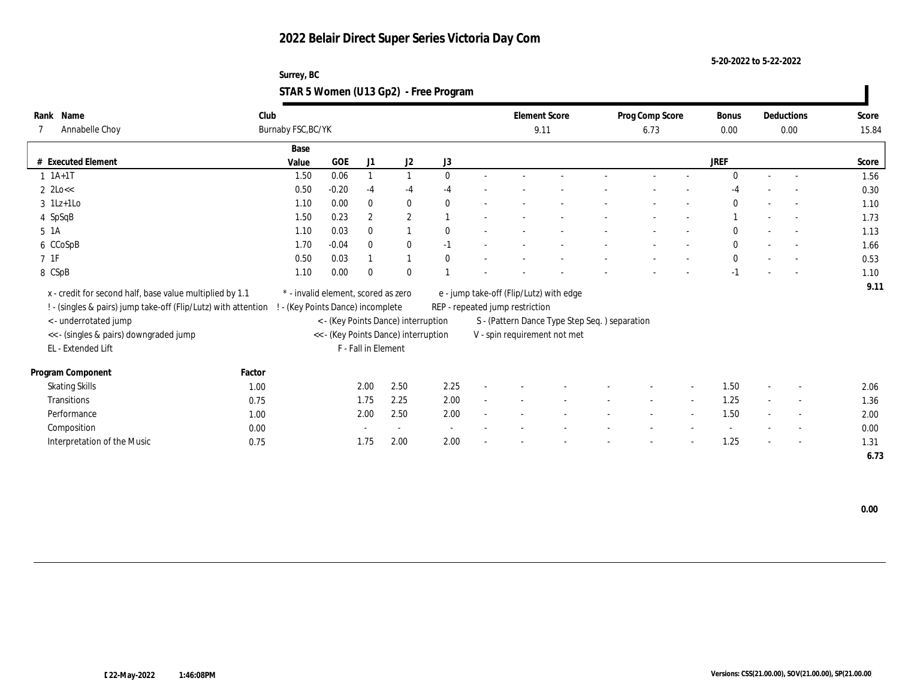**5-20-2022 to 5-22-2022**

### **Surrey, BC STAR 5 Women (U13 Gp2) - Free Program**

| Name<br>Rank                                                                                     | Club               |                                     |                     |                                      |              |        |                                 | <b>Element Score</b>                          | Prog Comp Score |        | <b>Bonus</b> |        | Deductions               | Score |
|--------------------------------------------------------------------------------------------------|--------------------|-------------------------------------|---------------------|--------------------------------------|--------------|--------|---------------------------------|-----------------------------------------------|-----------------|--------|--------------|--------|--------------------------|-------|
| Annabelle Choy                                                                                   | Burnaby FSC, BC/YK |                                     |                     |                                      |              |        |                                 | 9.11                                          | 6.73            |        | $0.00\,$     |        | 0.00                     | 15.84 |
|                                                                                                  |                    | Base                                |                     |                                      |              |        |                                 |                                               |                 |        |              |        |                          |       |
| # Executed Element                                                                               |                    | GOE<br>Value                        | J1                  | J2                                   | J3           |        |                                 |                                               |                 |        | <b>JREF</b>  |        |                          | Score |
| $1 \t1A+1T$                                                                                      |                    | 0.06<br>1.50                        |                     | $\mathbf{1}$                         | $\theta$     |        |                                 |                                               |                 |        | $\Omega$     |        |                          | 1.56  |
| $2 \text{ 2Lo} <$                                                                                |                    | 0.50<br>$-0.20$                     | $-4$                | $-4$                                 | $-4$         |        |                                 |                                               |                 |        | -4           |        |                          | 0.30  |
| $3$ 1Lz+1Lo                                                                                      |                    | 0.00<br>1.10                        | $\mathbf{0}$        | $\bf{0}$                             | $\mathbf{0}$ |        |                                 |                                               |                 |        | $\mathbf{0}$ |        |                          | 1.10  |
| 4 SpSqB                                                                                          |                    | 0.23<br>1.50                        | $\overline{2}$      | $\mathbf{2}$                         |              |        |                                 |                                               |                 |        |              |        | $\overline{a}$           | 1.73  |
| $5\;1A$                                                                                          |                    | 0.03<br>1.10                        | $\mathbf{0}$        | $\overline{1}$                       | $\theta$     |        |                                 |                                               |                 |        | $\Omega$     |        | $\sim$                   | 1.13  |
| 6 CCoSpB                                                                                         |                    | $-0.04$<br>1.70                     | $\mathbf{0}$        | $\mathbf{0}$                         | $-1$         |        |                                 |                                               |                 |        | $\mathbf{0}$ |        | $\overline{a}$           | 1.66  |
| $7\;\;1\mathrm{F}$                                                                               |                    | 0.50<br>0.03                        |                     | $\mathbf{1}$                         | $\mathbf{0}$ |        |                                 |                                               |                 |        | $\mathbf{0}$ |        |                          | 0.53  |
| 8 CSpB                                                                                           |                    | 1.10<br>0.00                        | $\mathbf{0}$        | $\mathbf{0}$                         |              |        |                                 |                                               |                 |        | $-1$         |        |                          | 1.10  |
| x - credit for second half, base value multiplied by 1.1                                         |                    | * - invalid element, scored as zero |                     |                                      |              |        |                                 | e - jump take-off (Flip/Lutz) with edge       |                 |        |              |        |                          | 9.11  |
| ! - (singles & pairs) jump take-off (Flip/Lutz) with attention ! - (Key Points Dance) incomplete |                    |                                     |                     |                                      |              |        | REP - repeated jump restriction |                                               |                 |        |              |        |                          |       |
| < - underrotated jump                                                                            |                    |                                     |                     | < - (Key Points Dance) interruption  |              |        |                                 | S - (Pattern Dance Type Step Seq.) separation |                 |        |              |        |                          |       |
| << - (singles & pairs) downgraded jump                                                           |                    |                                     |                     | << - (Key Points Dance) interruption |              |        |                                 | V - spin requirement not met                  |                 |        |              |        |                          |       |
| EL - Extended Lift                                                                               |                    |                                     | F - Fall in Element |                                      |              |        |                                 |                                               |                 |        |              |        |                          |       |
|                                                                                                  |                    |                                     |                     |                                      |              |        |                                 |                                               |                 |        |              |        |                          |       |
| Program Component                                                                                | Factor             |                                     |                     |                                      |              |        |                                 |                                               |                 |        |              |        |                          |       |
| <b>Skating Skills</b>                                                                            | 1.00               |                                     | 2.00                | 2.50                                 | 2.25         |        |                                 |                                               |                 |        | 1.50         |        | $\overline{\phantom{a}}$ | 2.06  |
| <b>Transitions</b>                                                                               | 0.75               |                                     | 1.75                | 2.25                                 | 2.00         | $\sim$ |                                 |                                               | $\sim$          | $\sim$ | 1.25         | $\sim$ | $\sim$                   | 1.36  |
| Performance                                                                                      | 1.00               |                                     | 2.00                | 2.50                                 | 2.00         |        |                                 |                                               |                 |        | 1.50         |        | $\sim$                   | 2.00  |
| Composition                                                                                      | 0.00               |                                     |                     | $\sim$                               |              |        |                                 |                                               |                 |        |              |        | $\overline{\phantom{a}}$ | 0.00  |
| Interpretation of the Music                                                                      | 0.75               |                                     | 1.75                | 2.00                                 | 2.00         |        |                                 |                                               |                 |        | 1.25         |        | $\sim$                   | 1.31  |
|                                                                                                  |                    |                                     |                     |                                      |              |        |                                 |                                               |                 |        |              |        |                          | 6.73  |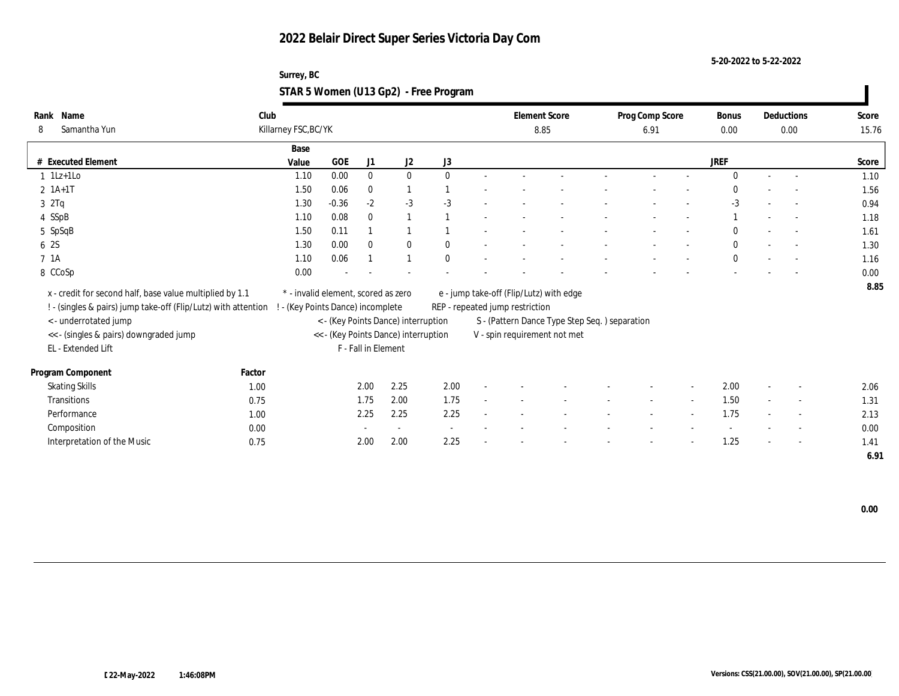**5-20-2022 to 5-22-2022**

| Surrey, BC                            |  |
|---------------------------------------|--|
| STAR 5 Women (U13 Gp2) - Free Program |  |

| Rank Name                                                      | Club   |                                     |            |                     |                                      |              |                                 | <b>Element Score</b>                           | Prog Comp Score |        | Bonus        |        | Deductions               | Score |
|----------------------------------------------------------------|--------|-------------------------------------|------------|---------------------|--------------------------------------|--------------|---------------------------------|------------------------------------------------|-----------------|--------|--------------|--------|--------------------------|-------|
| Samantha Yun<br>8                                              |        | Killarney FSC, BC/YK                |            |                     |                                      |              |                                 | 8.85                                           | 6.91            |        | 0.00         |        | 0.00                     | 15.76 |
|                                                                |        | Base                                |            |                     |                                      |              |                                 |                                                |                 |        |              |        |                          |       |
| # Executed Element                                             |        | Value                               | <b>GOE</b> | J1                  | J2                                   | J3           |                                 |                                                |                 |        | <b>JREF</b>  |        |                          | Score |
| $1$ 1Lz+1Lo                                                    |        | 1.10                                | 0.00       | $\bf{0}$            | $\bf{0}$                             | $\mathbf{0}$ |                                 |                                                |                 |        | $\Omega$     | $\sim$ | $\sim$                   | 1.10  |
| $2 \; 1A+1T$                                                   |        | 1.50                                | 0.06       | $\mathbf{0}$        | 1                                    |              |                                 |                                                |                 |        | $\mathbf{0}$ |        | $\overline{\phantom{a}}$ | 1.56  |
| 32Tq                                                           |        | 1.30                                | $-0.36$    | $-2$                | $-3$                                 | $-3$         |                                 |                                                |                 |        | $-3$         |        | $\overline{\phantom{a}}$ | 0.94  |
| 4 SSpB                                                         |        | 1.10                                | 0.08       | $\mathbf{0}$        | $\mathbf{1}$                         |              |                                 |                                                |                 |        |              |        | $\sim$                   | 1.18  |
| 5 SpSqB                                                        |        | 1.50                                | 0.11       |                     |                                      |              |                                 |                                                |                 |        | $\Omega$     |        | $\sim$                   | 1.61  |
| 6 2S                                                           |        | 1.30                                | 0.00       | $\mathbf{0}$        | $\bf{0}$                             | $\mathbf{0}$ |                                 |                                                |                 |        | $\mathbf{0}$ |        | $\overline{\phantom{a}}$ | 1.30  |
| 7 <sub>1A</sub>                                                |        | 1.10                                | 0.06       |                     | $\mathbf{1}$                         | $\mathbf{0}$ |                                 |                                                |                 |        | $\mathbf{0}$ |        | $\overline{\phantom{a}}$ | 1.16  |
| 8 CCoSp                                                        |        | 0.00                                |            |                     |                                      |              |                                 |                                                |                 |        |              |        |                          | 0.00  |
| x - credit for second half, base value multiplied by 1.1       |        | * - invalid element, scored as zero |            |                     |                                      |              |                                 | e - jump take-off (Flip/Lutz) with edge        |                 |        |              |        |                          | 8.85  |
| ! - (singles & pairs) jump take-off (Flip/Lutz) with attention |        | (Key Points Dance) incomplete       |            |                     |                                      |              | REP - repeated jump restriction |                                                |                 |        |              |        |                          |       |
| <- underrotated jump                                           |        |                                     |            |                     | < - (Key Points Dance) interruption  |              |                                 | S - (Pattern Dance Type Step Seq. ) separation |                 |        |              |        |                          |       |
| << - (singles & pairs) downgraded jump                         |        |                                     |            |                     | << - (Key Points Dance) interruption |              |                                 | V - spin requirement not met                   |                 |        |              |        |                          |       |
| EL - Extended Lift                                             |        |                                     |            | F - Fall in Element |                                      |              |                                 |                                                |                 |        |              |        |                          |       |
|                                                                |        |                                     |            |                     |                                      |              |                                 |                                                |                 |        |              |        |                          |       |
| Program Component                                              | Factor |                                     |            |                     |                                      |              |                                 |                                                |                 |        |              |        |                          |       |
| <b>Skating Skills</b>                                          | 1.00   |                                     |            | 2.00                | 2.25                                 | 2.00         |                                 |                                                |                 |        | 2.00         |        |                          | 2.06  |
| Transitions                                                    | 0.75   |                                     |            | 1.75                | 2.00                                 | 1.75         |                                 |                                                |                 | $\sim$ | 1.50         |        | $\sim$                   | 1.31  |
| Performance                                                    | 1.00   |                                     |            | 2.25                | 2.25                                 | 2.25         |                                 |                                                |                 |        | 1.75         |        | $\overline{\phantom{a}}$ | 2.13  |
| Composition                                                    | 0.00   |                                     |            |                     |                                      | $\sim$       |                                 |                                                |                 |        |              |        | $\overline{\phantom{a}}$ | 0.00  |
| Interpretation of the Music                                    | 0.75   |                                     |            | 2.00                | 2.00                                 | 2.25         |                                 |                                                |                 |        | 1.25         |        | $\overline{\phantom{a}}$ | 1.41  |
|                                                                |        |                                     |            |                     |                                      |              |                                 |                                                |                 |        |              |        |                          | 6.91  |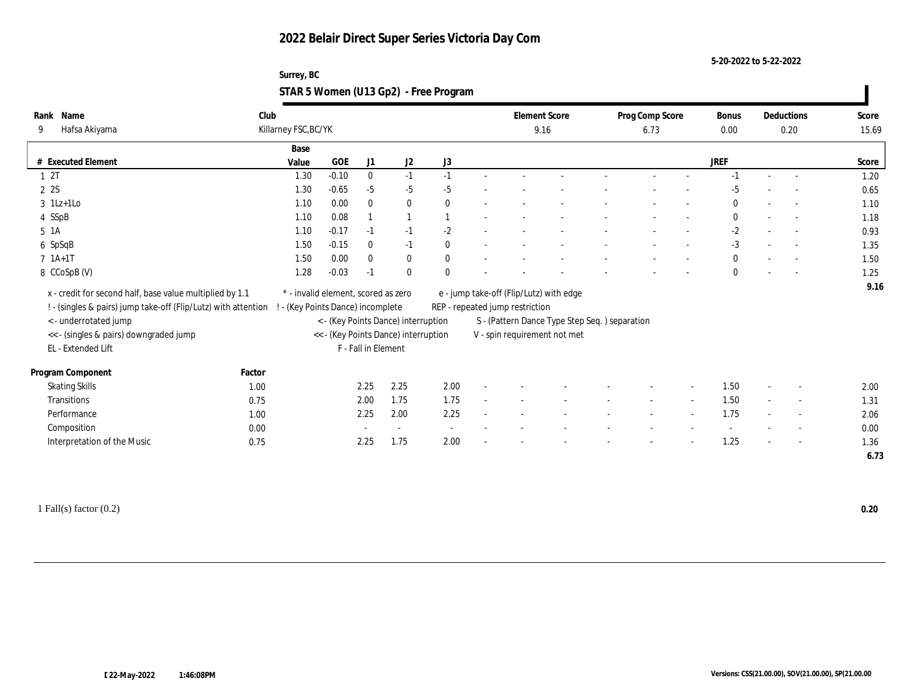**5-20-2022 to 5-22-2022**

#### **Surrey, BC STAR 5 Women (U13 Gp2) - Free Program**

| Name<br>Rank          |                                                                | Club                              |                                     |                     |                                      |              |                                 | <b>Element Score</b>                           | Prog Comp Score |        | Bonus        |        | Deductions               | Score |
|-----------------------|----------------------------------------------------------------|-----------------------------------|-------------------------------------|---------------------|--------------------------------------|--------------|---------------------------------|------------------------------------------------|-----------------|--------|--------------|--------|--------------------------|-------|
| 9                     | Hafsa Akiyama                                                  | Killarney FSC, BC/YK              |                                     |                     |                                      |              |                                 | 9.16                                           | 6.73            |        | 0.00         |        | 0.20                     | 15.69 |
|                       |                                                                | Base                              |                                     |                     |                                      |              |                                 |                                                |                 |        |              |        |                          |       |
| # Executed Element    |                                                                | Value                             | <b>GOE</b>                          | J1                  | $\mathrm{J}2$                        | J3           |                                 |                                                |                 |        | <b>JREF</b>  |        |                          | Score |
| 12T                   |                                                                | 1.30                              | $-0.10$                             | $\mathbf{0}$        | $-1$                                 | $-1$         |                                 |                                                |                 |        | $-1$         | $\sim$ | $\overline{\phantom{a}}$ | 1.20  |
| 2 2S                  |                                                                | 1.30                              | $-0.65$                             | $-5$                | $-5$                                 | $-5$         |                                 |                                                |                 |        | $-5$         |        |                          | 0.65  |
| $3$ 1Lz+1Lo           |                                                                | 1.10                              | 0.00                                | $\mathbf{0}$        | $\bf{0}$                             | $\mathbf{0}$ |                                 |                                                |                 |        | $\Omega$     |        |                          | 1.10  |
| 4 SSpB                |                                                                | 1.10                              | 0.08                                |                     |                                      |              |                                 |                                                |                 |        | $\mathbf{0}$ |        | $\sim$                   | 1.18  |
| 5 1A                  |                                                                | 1.10                              | $-0.17$                             | $-1$                | $-1$                                 | $-2$         |                                 |                                                |                 |        | $-2$         |        | $\sim$                   | 0.93  |
| 6 SpSqB               |                                                                | 1.50                              | $-0.15$                             | $\bf{0}$            | $-1$                                 | $\mathbf{0}$ |                                 |                                                |                 |        | $-3$         |        |                          | 1.35  |
| $7 1A+1T$             |                                                                | 1.50                              | 0.00                                | $\mathbf{0}$        | $\bf{0}$                             | $\mathbf{0}$ |                                 |                                                |                 |        | $\mathbf{0}$ |        |                          | 1.50  |
| 8 CCoSpB (V)          |                                                                | 1.28                              | $-0.03$                             | $-1$                | $\mathbf{0}$                         | $\theta$     |                                 |                                                |                 |        | $\mathbf{0}$ |        |                          | 1.25  |
|                       | x - credit for second half, base value multiplied by 1.1       |                                   | * - invalid element, scored as zero |                     |                                      |              |                                 | e - jump take-off (Flip/Lutz) with edge        |                 |        |              |        |                          | 9.16  |
|                       | ! - (singles & pairs) jump take-off (Flip/Lutz) with attention | ! - (Key Points Dance) incomplete |                                     |                     |                                      |              | REP - repeated jump restriction |                                                |                 |        |              |        |                          |       |
|                       | < - underrotated jump                                          |                                   |                                     |                     | < - (Key Points Dance) interruption  |              |                                 | S - (Pattern Dance Type Step Seq. ) separation |                 |        |              |        |                          |       |
|                       | << - (singles & pairs) downgraded jump                         |                                   |                                     |                     | << - (Key Points Dance) interruption |              |                                 | V - spin requirement not met                   |                 |        |              |        |                          |       |
| EL - Extended Lift    |                                                                |                                   |                                     | F - Fall in Element |                                      |              |                                 |                                                |                 |        |              |        |                          |       |
|                       |                                                                |                                   |                                     |                     |                                      |              |                                 |                                                |                 |        |              |        |                          |       |
| Program Component     |                                                                | Factor                            |                                     |                     |                                      |              |                                 |                                                |                 |        |              |        |                          |       |
| <b>Skating Skills</b> |                                                                | 1.00                              |                                     | 2.25                | 2.25                                 | 2.00         |                                 |                                                |                 |        | 1.50         |        |                          | 2.00  |
| Transitions           |                                                                | 0.75                              |                                     | 2.00                | 1.75                                 | 1.75         |                                 |                                                |                 | $\sim$ | 1.50         |        | $\overline{\phantom{a}}$ | 1.31  |
| Performance           |                                                                | 1.00                              |                                     | 2.25                | 2.00                                 | 2.25         |                                 |                                                |                 |        | 1.75         |        |                          | 2.06  |
| Composition           |                                                                | 0.00                              |                                     |                     | $\sim$                               | $\sim$       |                                 |                                                |                 |        |              |        | $\sim$                   | 0.00  |
|                       | Interpretation of the Music                                    | 0.75                              |                                     | 2.25                | 1.75                                 | 2.00         |                                 |                                                |                 |        | 1.25         |        | $\overline{\phantom{a}}$ | 1.36  |
|                       |                                                                |                                   |                                     |                     |                                      |              |                                 |                                                |                 |        |              |        |                          | 6.73  |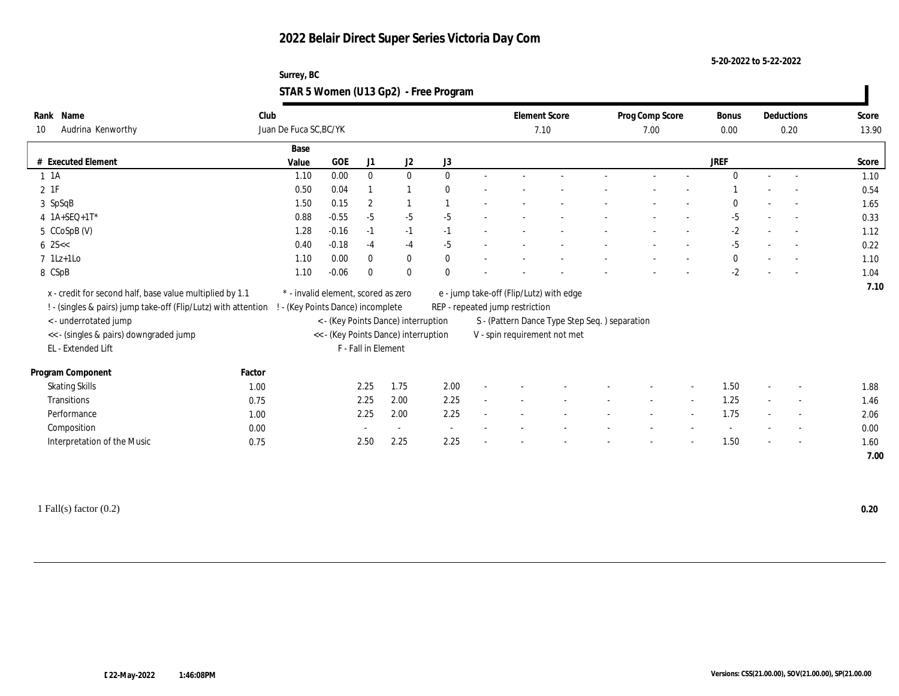**5-20-2022 to 5-22-2022**

#### **Surrey, BC STAR 5 Women (U13 Gp2) - Free Program**

| Name<br>Rank                                                   | Club   |                                     |            |                     |                                      |              |                                 | <b>Element Score</b>                           | Prog Comp Score | Bonus        |                          | Deductions               | Score |
|----------------------------------------------------------------|--------|-------------------------------------|------------|---------------------|--------------------------------------|--------------|---------------------------------|------------------------------------------------|-----------------|--------------|--------------------------|--------------------------|-------|
| Audrina Kenworthy<br>10                                        |        | Juan De Fuca SC, BC/YK              |            |                     |                                      |              |                                 | 7.10                                           | 7.00            | 0.00         |                          | 0.20                     | 13.90 |
|                                                                |        | Base                                |            |                     |                                      |              |                                 |                                                |                 |              |                          |                          |       |
| # Executed Element                                             |        | Value                               | <b>GOE</b> | J1                  | J <sub>2</sub>                       | J3           |                                 |                                                |                 | <b>JREF</b>  |                          |                          | Score |
| $1 \t1A$                                                       |        | 1.10                                | 0.00       | $\bf{0}$            | $\mathbf{0}$                         | $\Omega$     |                                 |                                                |                 | $\Omega$     | $\sim$                   | $\sim$                   | 1.10  |
| $2$ 1F                                                         |        | 0.50                                | 0.04       |                     |                                      | $\mathbf{0}$ |                                 |                                                |                 |              |                          |                          | 0.54  |
| 3 SpSqB                                                        |        | 1.50                                | 0.15       | $\overline{2}$      |                                      |              |                                 |                                                |                 | $\theta$     |                          |                          | 1.65  |
| $4$ 1A+SEQ+1T*                                                 |        | 0.88                                | $-0.55$    | $-5$                | $-5$                                 | $-5$         |                                 |                                                |                 | $-5$         |                          | $\sim$                   | 0.33  |
| 5 CCoSpB (V)                                                   |        | 1.28                                | $-0.16$    | $-1$                | $-1$                                 | $-1$         |                                 |                                                |                 | $-2$         |                          | $\sim$                   | 1.12  |
| $6 \, 25 <$                                                    |        | 0.40                                | $-0.18$    | $-4$                | $-4$                                 | $-5$         |                                 |                                                |                 | $-5$         |                          |                          | 0.22  |
| $7$ 1Lz+1Lo                                                    |        | 1.10                                | 0.00       | $\mathbf{0}$        | $\bf{0}$                             | $\mathbf{0}$ |                                 |                                                |                 | $\mathbf{0}$ |                          |                          | 1.10  |
| 8 CSpB                                                         |        | 1.10                                | $-0.06$    | $\mathbf{0}$        | $\mathbf{0}$                         | $\mathbf{0}$ |                                 |                                                |                 | $-2$         |                          |                          | 1.04  |
| x - credit for second half, base value multiplied by 1.1       |        | * - invalid element, scored as zero |            |                     |                                      |              |                                 | e - jump take-off (Flip/Lutz) with edge        |                 |              |                          |                          | 7.10  |
| ! - (singles & pairs) jump take-off (Flip/Lutz) with attention |        | - (Key Points Dance) incomplete     |            |                     |                                      |              | REP - repeated jump restriction |                                                |                 |              |                          |                          |       |
| < - underrotated jump                                          |        |                                     |            |                     | < - (Key Points Dance) interruption  |              |                                 | S - (Pattern Dance Type Step Seq. ) separation |                 |              |                          |                          |       |
| << - (singles & pairs) downgraded jump                         |        |                                     |            |                     | << - (Key Points Dance) interruption |              |                                 | V - spin requirement not met                   |                 |              |                          |                          |       |
| EL - Extended Lift                                             |        |                                     |            | F - Fall in Element |                                      |              |                                 |                                                |                 |              |                          |                          |       |
|                                                                |        |                                     |            |                     |                                      |              |                                 |                                                |                 |              |                          |                          |       |
| Program Component                                              | Factor |                                     |            |                     |                                      |              |                                 |                                                |                 |              |                          |                          |       |
| <b>Skating Skills</b>                                          | 1.00   |                                     |            | 2.25                | 1.75                                 | 2.00         |                                 |                                                |                 | 1.50         |                          | $\overline{\phantom{a}}$ | 1.88  |
| Transitions                                                    | 0.75   |                                     |            | 2.25                | 2.00                                 | 2.25         |                                 |                                                |                 | 1.25         |                          | $\overline{\phantom{a}}$ | 1.46  |
| Performance                                                    | 1.00   |                                     |            | 2.25                | 2.00                                 | 2.25         |                                 |                                                |                 | 1.75         |                          | $\sim$                   | 2.06  |
| Composition                                                    | 0.00   |                                     |            |                     | $\sim$                               | $\sim$       |                                 |                                                |                 |              |                          | $\overline{\phantom{a}}$ | 0.00  |
| Interpretation of the Music                                    | 0.75   |                                     |            | 2.50                | 2.25                                 | 2.25         |                                 |                                                |                 | 1.50         | $\overline{\phantom{a}}$ | $\overline{\phantom{a}}$ | 1.60  |
|                                                                |        |                                     |            |                     |                                      |              |                                 |                                                |                 |              |                          |                          | 7.00  |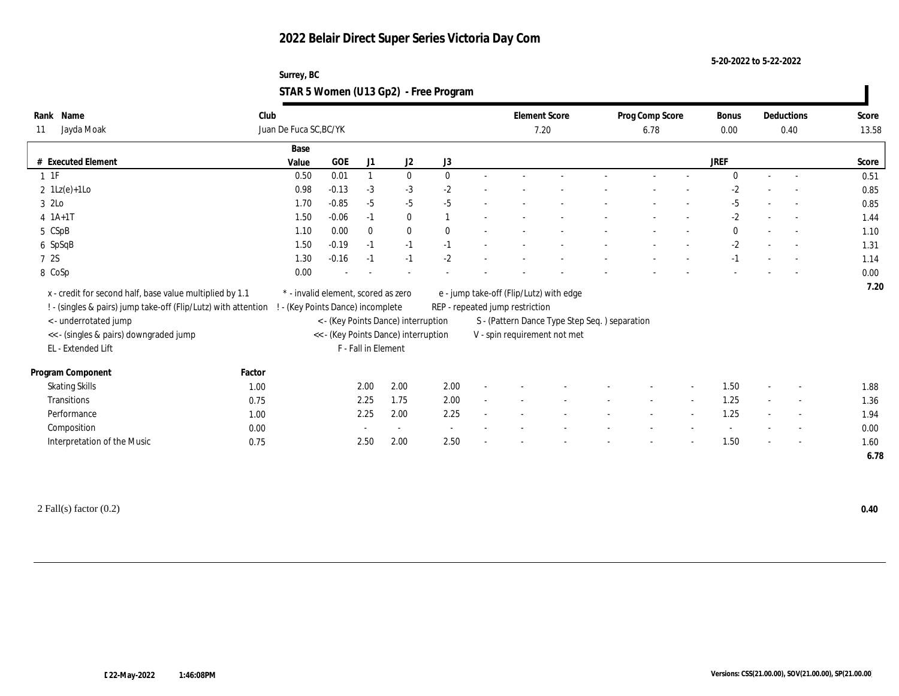**5-20-2022 to 5-22-2022**

#### **Surrey, BC STAR 5 Women (U13 Gp2) - Free Program**

| Name<br>Rank                                                   | Club   |                                     |            |                     |                                      |                          |                                 | <b>Element Score</b>                           | Prog Comp Score | Bonus       |                          | Deductions               | Score |
|----------------------------------------------------------------|--------|-------------------------------------|------------|---------------------|--------------------------------------|--------------------------|---------------------------------|------------------------------------------------|-----------------|-------------|--------------------------|--------------------------|-------|
| Jayda Moak<br>11                                               |        | Juan De Fuca SC, BC/YK              |            |                     |                                      |                          |                                 | 7.20                                           | 6.78            | 0.00        |                          | 0.40                     | 13.58 |
|                                                                |        | Base                                |            |                     |                                      |                          |                                 |                                                |                 |             |                          |                          |       |
| # Executed Element                                             |        | Value                               | <b>GOE</b> | J1                  | J <sub>2</sub>                       | J3                       |                                 |                                                |                 | <b>JREF</b> |                          |                          | Score |
| $1 \t1F$                                                       |        | 0.50                                | 0.01       | $\mathbf{1}$        | $\mathbf{0}$                         | $\mathbf{0}$             |                                 |                                                |                 | $\Omega$    | $\sim$                   | $\sim$                   | 0.51  |
| $2 \text{ } 1\text{Lz}(e)+1\text{Lo}$                          |        | 0.98                                | $-0.13$    | $-3$                | $-3$                                 | $-2$                     |                                 |                                                |                 | $-2$        |                          |                          | 0.85  |
| 3 2Lo                                                          |        | 1.70                                | $-0.85$    | $-5$                | $-5$                                 | $-5$                     |                                 |                                                |                 | -5          |                          |                          | 0.85  |
| $4 \; 1A+1T$                                                   |        | 1.50                                | $-0.06$    | $-1$                | $\bf{0}$                             |                          |                                 |                                                |                 | $-2$        |                          | $\sim$                   | 1.44  |
| 5 CSpB                                                         |        | 1.10                                | 0.00       | $\bf{0}$            | $\bf{0}$                             | $\theta$                 |                                 |                                                |                 | $\bf{0}$    |                          | $\sim$                   | 1.10  |
| 6 SpSqB                                                        |        | 1.50                                | $-0.19$    | $-1$                | $-1$                                 | $-1$                     |                                 |                                                |                 | $-2$        |                          |                          | 1.31  |
| 7 2S                                                           |        | 1.30                                | $-0.16$    | $-1$                | $-1$                                 | $-2$                     |                                 |                                                |                 | $-1$        |                          |                          | 1.14  |
| 8 CoSp                                                         |        | 0.00                                |            |                     |                                      |                          |                                 |                                                |                 |             |                          |                          | 0.00  |
| x - credit for second half, base value multiplied by 1.1       |        | * - invalid element, scored as zero |            |                     |                                      |                          |                                 | e - jump take-off (Flip/Lutz) with edge        |                 |             |                          |                          | 7.20  |
| ! - (singles & pairs) jump take-off (Flip/Lutz) with attention |        | - (Key Points Dance) incomplete     |            |                     |                                      |                          | REP - repeated jump restriction |                                                |                 |             |                          |                          |       |
| < - underrotated jump                                          |        |                                     |            |                     | < - (Key Points Dance) interruption  |                          |                                 | S - (Pattern Dance Type Step Seq. ) separation |                 |             |                          |                          |       |
| << - (singles & pairs) downgraded jump                         |        |                                     |            |                     | << - (Key Points Dance) interruption |                          |                                 | V - spin requirement not met                   |                 |             |                          |                          |       |
| EL - Extended Lift                                             |        |                                     |            | F - Fall in Element |                                      |                          |                                 |                                                |                 |             |                          |                          |       |
|                                                                |        |                                     |            |                     |                                      |                          |                                 |                                                |                 |             |                          |                          |       |
| Program Component                                              | Factor |                                     |            |                     |                                      |                          |                                 |                                                |                 |             |                          |                          |       |
| <b>Skating Skills</b>                                          | 1.00   |                                     |            | 2.00                | 2.00                                 | 2.00                     |                                 |                                                |                 | 1.50        |                          | $\overline{\phantom{a}}$ | 1.88  |
| Transitions                                                    | 0.75   |                                     |            | 2.25                | 1.75                                 | 2.00                     |                                 |                                                |                 | 1.25        |                          | $\overline{\phantom{a}}$ | 1.36  |
| Performance                                                    | 1.00   |                                     |            | 2.25                | 2.00                                 | 2.25                     |                                 |                                                |                 | 1.25        |                          | $\sim$                   | 1.94  |
| Composition                                                    | 0.00   |                                     |            |                     | $\sim$                               | $\overline{\phantom{a}}$ |                                 |                                                |                 |             |                          |                          | 0.00  |
| Interpretation of the Music                                    | 0.75   |                                     |            | 2.50                | 2.00                                 | 2.50                     |                                 |                                                |                 | 1.50        | $\overline{\phantom{a}}$ | $\overline{a}$           | 1.60  |
|                                                                |        |                                     |            |                     |                                      |                          |                                 |                                                |                 |             |                          |                          | 6.78  |